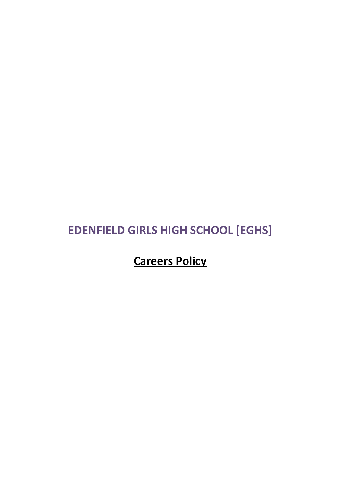# **EDENFIELD GIRLS HIGH SCHOOL [EGHS]**

# **Careers Policy**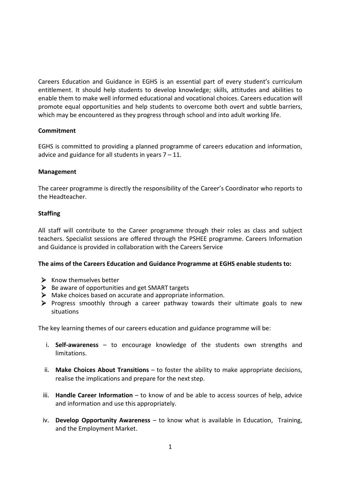Careers Education and Guidance in EGHS is an essential part of every student's curriculum entitlement. It should help students to develop knowledge; skills, attitudes and abilities to enable them to make well informed educational and vocational choices. Careers education will promote equal opportunities and help students to overcome both overt and subtle barriers, which may be encountered as they progress through school and into adult working life.

#### **Commitment**

EGHS is committed to providing a planned programme of careers education and information, advice and guidance for all students in years  $7 - 11$ .

#### **Management**

The career programme is directly the responsibility of the Career's Coordinator who reports to the Headteacher.

#### **Staffing**

All staff will contribute to the Career programme through their roles as class and subject teachers. Specialist sessions are offered through the PSHEE programme. Careers Information and Guidance is provided in collaboration with the Careers Service

#### **The aims of the Careers Education and Guidance Programme at EGHS enable students to:**

- $\triangleright$  Know themselves better
- $\triangleright$  Be aware of opportunities and get SMART targets
- $\triangleright$  Make choices based on accurate and appropriate information.
- $\triangleright$  Progress smoothly through a career pathway towards their ultimate goals to new situations

The key learning themes of our careers education and guidance programme will be:

- i. **Self-awareness**  to encourage knowledge of the students own strengths and limitations.
- ii. **Make Choices About Transitions**  to foster the ability to make appropriate decisions, realise the implications and prepare for the next step.
- iii. **Handle Career Information**  to know of and be able to access sources of help, advice and information and use this appropriately.
- iv. **Develop Opportunity Awareness**  to know what is available in Education, Training, and the Employment Market.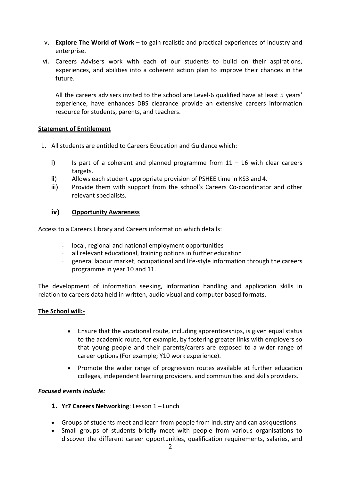- v. **Explore The World of Work**  to gain realistic and practical experiences of industry and enterprise.
- vi. Careers Advisers work with each of our students to build on their aspirations, experiences, and abilities into a coherent action plan to improve their chances in the future.

All the careers advisers invited to the school are Level-6 qualified have at least 5 years' experience, have enhances DBS clearance provide an extensive careers information resource for students, parents, and teachers.

#### **Statement of Entitlement**

- 1. All students are entitled to Careers Education and Guidance which:
	- i) Is part of a coherent and planned programme from  $11 16$  with clear careers targets.
	- ii) Allows each student appropriate provision of PSHEE time in KS3 and 4.
	- iii) Provide them with support from the school's Careers Co-coordinator and other relevant specialists.

## **iv) Opportunity Awareness**

Access to a Careers Library and Careers information which details:

- local, regional and national employment opportunities
- all relevant educational, training options in further education
- general labour market, occupational and life-style information through the careers programme in year 10 and 11.

The development of information seeking, information handling and application skills in relation to careers data held in written, audio visual and computer based formats.

#### **The School will:-**

- Ensure that the vocational route, including apprenticeships, is given equal status to the academic route, for example, by fostering greater links with employers so that young people and their parents/carers are exposed to a wider range of career options (For example; Y10 work experience).
- Promote the wider range of progression routes available at further education colleges, independent learning providers, and communities and skills providers.

#### *Focused events include:*

#### **1. Yr7 Careers Networking**: Lesson 1 – Lunch

- Groups of students meet and learn from people from industry and can askquestions.
- Small groups of students briefly meet with people from various organisations to discover the different career opportunities, qualification requirements, salaries, and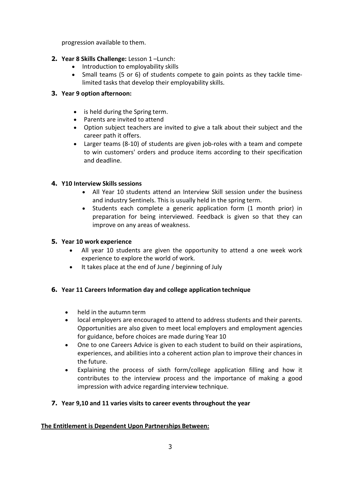progression available to them.

- **2. Year 8 Skills Challenge:** Lesson 1 –Lunch:
	- Introduction to employability skills
	- Small teams (5 or 6) of students compete to gain points as they tackle timelimited tasks that develop their employability skills.

# **3. Year 9 option afternoon:**

- is held during the Spring term.
- Parents are invited to attend
- Option subject teachers are invited to give a talk about their subject and the career path it offers.
- Larger teams (8-10) of students are given job-roles with a team and compete to win customers' orders and produce items according to their specification and deadline.

# **4. Y10 Interview Skills sessions**

- All Year 10 students attend an Interview Skill session under the business and industry Sentinels. This is usually held in the spring term.
- Students each complete a generic application form (1 month prior) in preparation for being interviewed. Feedback is given so that they can improve on any areas of weakness.

## **5. Year 10 work experience**

- All year 10 students are given the opportunity to attend a one week work experience to explore the world of work.
- It takes place at the end of June / beginning of July

# **6. Year 11 Careers Information day and college application technique**

- held in the autumn term
- local employers are encouraged to attend to address students and their parents. Opportunities are also given to meet local employers and employment agencies for guidance, before choices are made during Year 10
- One to one Careers Advice is given to each student to build on their aspirations, experiences, and abilities into a coherent action plan to improve their chances in the future.
- Explaining the process of sixth form/college application filling and how it contributes to the interview process and the importance of making a good impression with advice regarding interview technique.

## **7. Year 9,10 and 11 varies visits to career events throughout the year**

## **The Entitlement is Dependent Upon Partnerships Between:**